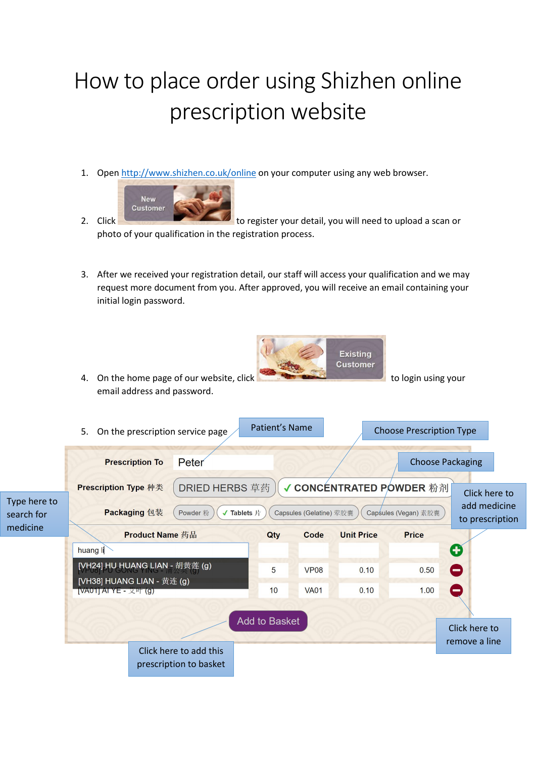## How to place order using Shizhen online prescription website

1. Open<http://www.shizhen.co.uk/online> on your computer using any web browser.



- 2. Click to register your detail, you will need to upload a scan or photo of your qualification in the registration process.
- 3. After we received your registration detail, our staff will access your qualification and we may request more document from you. After approved, you will receive an email containing your initial login password.

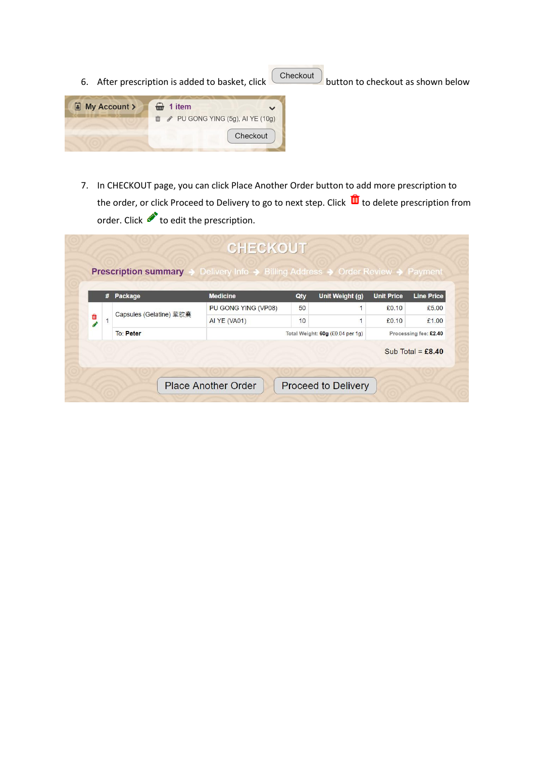- 6. After prescription is added to basket, click  $\overline{\text{Checkout}}$  button to checkout as shown below I My Account >  $\bigoplus$  1 item  $\mathbb{D}$  / PU GONG YING (5g), AI YE (10g) Checkout
	- 7. In CHECKOUT page, you can click Place Another Order button to add more prescription to the order, or click Proceed to Delivery to go to next step. Click  $\overline{w}$  to delete prescription from order. Click to edit the prescription.

|    |                                             | $#$ Package         | <b>Medicine</b> | Qty | Unit Weight (g)                  | <b>Unit Price</b> | <b>Line Price</b>     |
|----|---------------------------------------------|---------------------|-----------------|-----|----------------------------------|-------------------|-----------------------|
|    | Capsules (Gelatine) 荤胶囊<br><b>To: Peter</b> | PU GONG YING (VP08) | 50              |     | £0.10                            | £5.00             |                       |
| 血。 |                                             | <b>AI YE (VA01)</b> | 10              |     | £0.10                            | £1.00             |                       |
|    |                                             |                     |                 |     | Total Weight: 60g (£0.04 per 1g) |                   | Processing fee: £2.40 |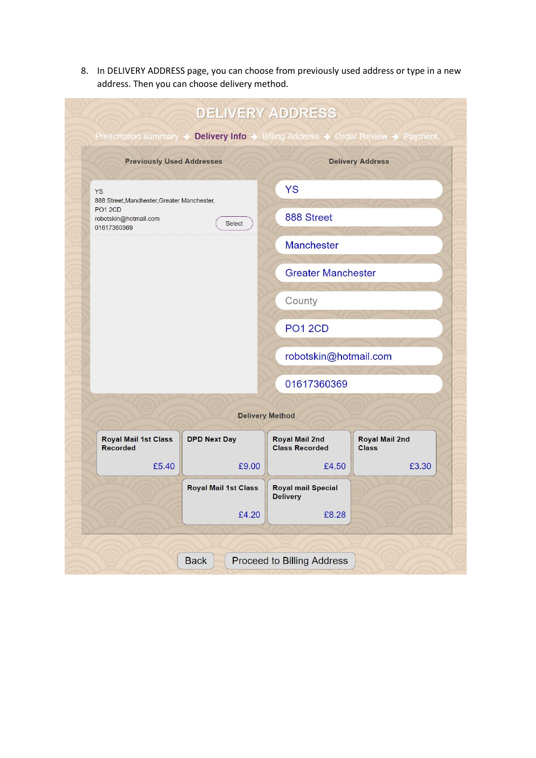8. In DELIVERY ADDRESS page, you can choose from previously used address or type in a new address. Then you can choose delivery method.

| Prescription summary $\rightarrow$                     |                             | <b>DELIVERY ADDRESS</b>                        | <b>Delivery Info → Billing Address → Order Review → Payment</b> |  |  |  |  |
|--------------------------------------------------------|-----------------------------|------------------------------------------------|-----------------------------------------------------------------|--|--|--|--|
| <b>Previously Used Addresses</b>                       |                             |                                                | <b>Delivery Address</b>                                         |  |  |  |  |
| YS<br>888 Street, Manchester, Greater Manchester,      |                             | <b>YS</b>                                      |                                                                 |  |  |  |  |
| <b>PO1 2CD</b><br>robotskin@hotmail.com<br>01617360369 | <b>Select</b>               | 888 Street                                     |                                                                 |  |  |  |  |
|                                                        |                             | <b>Manchester</b>                              |                                                                 |  |  |  |  |
|                                                        |                             | <b>Greater Manchester</b>                      |                                                                 |  |  |  |  |
|                                                        |                             |                                                |                                                                 |  |  |  |  |
|                                                        |                             | <b>PO1 2CD</b>                                 |                                                                 |  |  |  |  |
|                                                        |                             | robotskin@hotmail.com                          |                                                                 |  |  |  |  |
|                                                        |                             | 01617360369                                    |                                                                 |  |  |  |  |
| <b>Delivery Method</b>                                 |                             |                                                |                                                                 |  |  |  |  |
| <b>Royal Mail 1st Class</b><br><b>Recorded</b>         | <b>DPD Next Day</b>         | <b>Royal Mail 2nd</b><br><b>Class Recorded</b> | <b>Royal Mail 2nd</b><br><b>Class</b>                           |  |  |  |  |
| £5.40                                                  | £9.00                       | £4.50                                          | £3.30                                                           |  |  |  |  |
|                                                        | <b>Royal Mail 1st Class</b> |                                                |                                                                 |  |  |  |  |
|                                                        | £4.20                       | £8.28                                          |                                                                 |  |  |  |  |
|                                                        |                             |                                                |                                                                 |  |  |  |  |
|                                                        | <b>Back</b>                 | Proceed to Billing Address                     |                                                                 |  |  |  |  |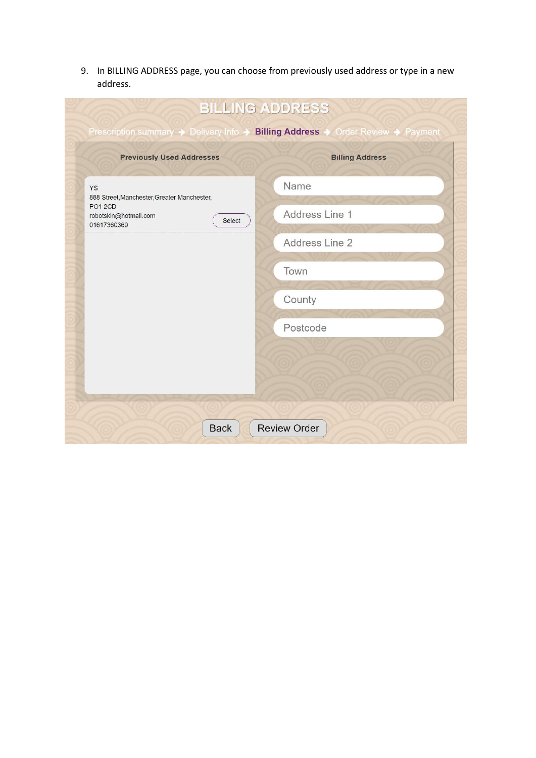9. In BILLING ADDRESS page, you can choose from previously used address or type in a new address.

| <b>BILLING ADDRESS</b>                                                           |                        |  |  |  |  |  |  |
|----------------------------------------------------------------------------------|------------------------|--|--|--|--|--|--|
| Prescription summary → Delivery Info → Billing Address → Order Review → Payment  |                        |  |  |  |  |  |  |
| <b>Previously Used Addresses</b>                                                 | <b>Billing Address</b> |  |  |  |  |  |  |
| <b>YS</b><br>888 Street, Manchester, Greater Manchester,                         | Name                   |  |  |  |  |  |  |
| PO <sub>1</sub> <sub>2CD</sub><br>robotskin@hotmail.com<br>Select<br>01617360369 | Address Line 1         |  |  |  |  |  |  |
|                                                                                  | Address Line 2         |  |  |  |  |  |  |
|                                                                                  | Town                   |  |  |  |  |  |  |
|                                                                                  | County                 |  |  |  |  |  |  |
|                                                                                  | Postcode               |  |  |  |  |  |  |
|                                                                                  |                        |  |  |  |  |  |  |
|                                                                                  |                        |  |  |  |  |  |  |
|                                                                                  |                        |  |  |  |  |  |  |
| <b>Back</b>                                                                      | <b>Review Order</b>    |  |  |  |  |  |  |